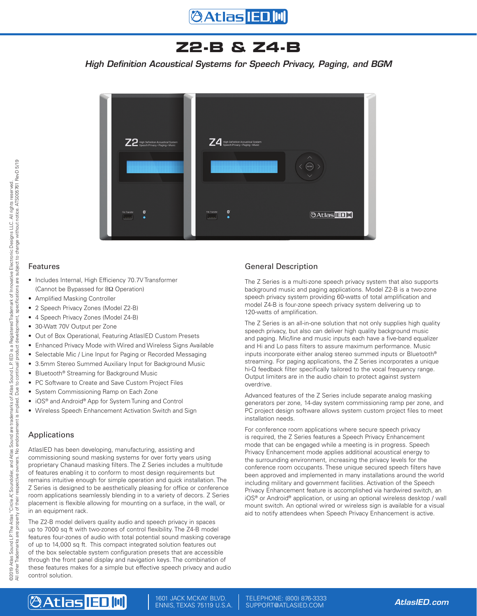## **Z2-B & Z4-B**

*High Definition Acoustical Systems for Speech Privacy, Paging, and BGM*



### Features

- Includes Internal, High Efficiency 70.7V Transformer (Cannot be Bypassed for 8Ω Operation)
- Amplified Masking Controller
- 2 Speech Privacy Zones (Model Z2-B)
- 4 Speech Privacy Zones (Model Z4-B)
- 30-Watt 70V Output per Zone
- Out of Box Operational, Featuring AtlasIED Custom Presets
- Enhanced Privacy Mode with Wired and Wireless Signs Available
- Selectable Mic / Line Input for Paging or Recorded Messaging
- 3.5mm Stereo Summed Auxiliary Input for Background Music
- Bluetooth<sup>®</sup> Streaming for Background Music
- PC Software to Create and Save Custom Project Files
- System Commissioning Ramp on Each Zone
- iOS<sup>®</sup> and Android<sup>®</sup> App for System Tuning and Control
- Wireless Speech Enhancement Activation Switch and Sign

## Applications

AtlasIED has been developing, manufacturing, assisting and commissioning sound masking systems for over forty years using proprietary Chanaud masking filters. The Z Series includes a multitude of features enabling it to conform to most design requirements but remains intuitive enough for simple operation and quick installation. The Z Series is designed to be aesthetically pleasing for office or conference room applications seamlessly blending in to a variety of decors. Z Series placement is flexible allowing for mounting on a surface, in the wall, or in an equipment rack.

The Z2-B model delivers quality audio and speech privacy in spaces up to 7000 sq ft with two-zones of control flexibility. The Z4-B model features four-zones of audio with total potential sound masking coverage of up to 14,000 sq ft. This compact integrated solution features out of the box selectable system configuration presets that are accessible through the front panel display and navigation keys. The combination of these features makes for a simple but effective speech privacy and audio control solution.

### General Description

The Z Series is a multi-zone speech privacy system that also supports background music and paging applications. Model Z2-B is a two-zone speech privacy system providing 60-watts of total amplification and model Z4-B is four-zone speech privacy system delivering up to 120-watts of amplification.

The Z Series is an all-in-one solution that not only supplies high quality speech privacy, but also can deliver high quality background music and paging. Mic/line and music inputs each have a five-band equalizer and Hi and Lo pass filters to assure maximum performance. Music inputs incorporate either analog stereo summed inputs or Bluetooth® streaming. For paging applications, the Z Series incorporates a unique hi-Q feedback filter specifically tailored to the vocal frequency range. Output limiters are in the audio chain to protect against system overdrive.

Advanced features of the Z Series include separate analog masking generators per zone, 14-day system commissioning ramp per zone, and PC project design software allows system custom project files to meet installation needs.

For conference room applications where secure speech privacy is required, the Z Series features a Speech Privacy Enhancement mode that can be engaged while a meeting is in progress. Speech Privacy Enhancement mode applies additional acoustical energy to the surrounding environment, increasing the privacy levels for the conference room occupants. These unique secured speech filters have been approved and implemented in many installations around the world including military and government facilities. Activation of the Speech Privacy Enhancement feature is accomplished via hardwired switch, an iOS® or Android® application, or using an optional wireless desktop / wall mount switch. An optional wired or wireless sign is available for a visual aid to notify attendees when Speech Privacy Enhancement is active.

## **@Atlas IED,M**

1601 JACK MCKAY BLVD. ENNIS, TEXAS 75119 U.S.A.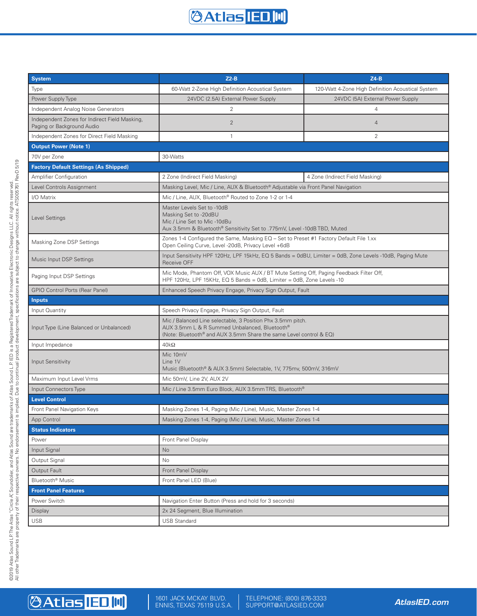## **@Atlas IED M**

| <b>System</b>                                                               | $Z2-B$                                                                                                                                                                             | $Z4-B$                                            |  |  |
|-----------------------------------------------------------------------------|------------------------------------------------------------------------------------------------------------------------------------------------------------------------------------|---------------------------------------------------|--|--|
| Type                                                                        | 60-Watt 2-Zone High Definition Acoustical System                                                                                                                                   | 120-Watt 4-Zone High Definition Acoustical System |  |  |
| Power Supply Type                                                           | 24VDC (2.5A) External Power Supply                                                                                                                                                 | 24VDC (5A) External Power Supply                  |  |  |
| Independent Analog Noise Generators                                         | 2                                                                                                                                                                                  | $\overline{4}$                                    |  |  |
| Independent Zones for Indirect Field Masking,<br>Paging or Background Audio | $\overline{2}$                                                                                                                                                                     | $\overline{4}$                                    |  |  |
| Independent Zones for Direct Field Masking                                  | $\mathbf{1}$                                                                                                                                                                       | 2                                                 |  |  |
| <b>Output Power (Note 1)</b>                                                |                                                                                                                                                                                    |                                                   |  |  |
| 70V per Zone                                                                | 30-Watts                                                                                                                                                                           |                                                   |  |  |
| <b>Factory Default Settings (As Shipped)</b>                                |                                                                                                                                                                                    |                                                   |  |  |
| <b>Amplifier Configuration</b>                                              | 2 Zone (Indirect Field Masking)                                                                                                                                                    | 4 Zone (Indirect Field Masking)                   |  |  |
| Level Controls Assignment                                                   | Masking Level, Mic / Line, AUX & Bluetooth® Adjustable via Front Panel Navigation                                                                                                  |                                                   |  |  |
| I/O Matrix                                                                  | Mic / Line, AUX, Bluetooth® Routed to Zone 1-2 or 1-4                                                                                                                              |                                                   |  |  |
| Level Settings                                                              | Master Levels Set to -10dB<br>Masking Set to -20dBU<br>Mic / Line Set to Mic-10dBu<br>Aux 3.5mm & Bluetooth® Sensitivity Set to .775mV, Level -10dB TBD, Muted                     |                                                   |  |  |
| Masking Zone DSP Settings                                                   | Zones 1-4 Configured the Same, Masking $EQ - Set$ to Preset #1 Factory Default File 1.xx<br>Open Ceiling Curve, Level -20dB, Privacy Level +6dB                                    |                                                   |  |  |
| Music Input DSP Settings                                                    | Input Sensitivity HPF 120Hz, LPF 15kHz, EQ 5 Bands = 0dBU, Limiter = 0dB, Zone Levels -10dB, Paging Mute<br>Receive OFF                                                            |                                                   |  |  |
| Paging Input DSP Settings                                                   | Mic Mode, Phantom Off, VOX Music AUX / BT Mute Setting Off, Paging Feedback Filter Off,<br>HPF 120Hz, LPF 15KHz, EQ 5 Bands = 0dB, Limiter = 0dB, Zone Levels -10                  |                                                   |  |  |
| <b>GPIO Control Ports (Rear Panel)</b>                                      | Enhanced Speech Privacy Engage, Privacy Sign Output, Fault                                                                                                                         |                                                   |  |  |
| <b>Inputs</b>                                                               |                                                                                                                                                                                    |                                                   |  |  |
| Input Quantity                                                              | Speech Privacy Engage, Privacy Sign Output, Fault                                                                                                                                  |                                                   |  |  |
| Input Type (Line Balanced or Unbalanced)                                    | Mic / Balanced Line selectable, 3 Position Phx 3.5mm pitch.<br>AUX 3.5mm L & R Summed Unbalanced, Bluetooth®<br>(Note: Bluetooth® and AUX 3.5mm Share the same Level control & EQ) |                                                   |  |  |
| Input Impedance                                                             | $40k\Omega$                                                                                                                                                                        |                                                   |  |  |
| <b>Input Sensitivity</b>                                                    | Mic 10mV<br>Line 1V<br>Music (Bluetooth® & AUX 3.5mm) Selectable, 1V, 775mv, 500mV, 316mV                                                                                          |                                                   |  |  |
| Maximum Input Level Vrms                                                    | Mic 50mV, Line 2V, AUX 2V                                                                                                                                                          |                                                   |  |  |
| Input Connectors Type                                                       | Mic / Line 3.5mm Euro Block, AUX 3.5mm TRS, Bluetooth®                                                                                                                             |                                                   |  |  |
| <b>Level Control</b>                                                        |                                                                                                                                                                                    |                                                   |  |  |
| Front Panel Navigation Keys                                                 | Masking Zones 1-4, Paging (Mic / Line), Music, Master Zones 1-4                                                                                                                    |                                                   |  |  |
| App Control                                                                 | Masking Zones 1-4, Paging (Mic / Line), Music, Master Zones 1-4                                                                                                                    |                                                   |  |  |
| <b>Status Indicators</b>                                                    |                                                                                                                                                                                    |                                                   |  |  |
| Power                                                                       | Front Panel Display                                                                                                                                                                |                                                   |  |  |
| Input Signal                                                                | No                                                                                                                                                                                 |                                                   |  |  |
| Output Signal                                                               | No                                                                                                                                                                                 |                                                   |  |  |
| Output Fault                                                                | Front Panel Display                                                                                                                                                                |                                                   |  |  |
| Bluetooth <sup>®</sup> Music                                                | Front Panel LED (Blue)                                                                                                                                                             |                                                   |  |  |
| <b>Front Panel Features</b>                                                 |                                                                                                                                                                                    |                                                   |  |  |
| Power Switch                                                                | Navigation Enter Button (Press and hold for 3 seconds)                                                                                                                             |                                                   |  |  |
| Display                                                                     | 2x 24 Segment, Blue Illumination                                                                                                                                                   |                                                   |  |  |
| USB                                                                         | <b>USB Standard</b>                                                                                                                                                                |                                                   |  |  |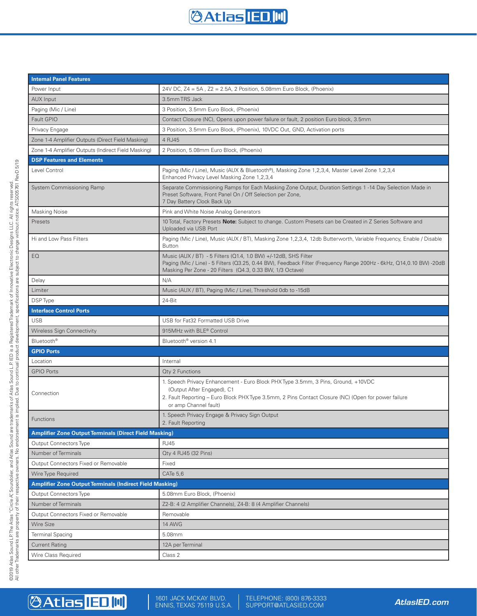

| <b>Internal Panel Features</b>                                  |                                                                                                                                                                                                                                                     |  |  |  |
|-----------------------------------------------------------------|-----------------------------------------------------------------------------------------------------------------------------------------------------------------------------------------------------------------------------------------------------|--|--|--|
| Power Input                                                     | 24V DC, $Z4 = 5A$ , $Z2 = 2.5A$ , 2 Position, 5.08mm Euro Block, (Phoenix)                                                                                                                                                                          |  |  |  |
| <b>AUX Input</b>                                                | 3.5mm TRS Jack                                                                                                                                                                                                                                      |  |  |  |
| Paging (Mic / Line)                                             | 3 Position, 3.5mm Euro Block, (Phoenix)                                                                                                                                                                                                             |  |  |  |
| Fault GPIO                                                      | Contact Closure (NC), Opens upon power failure or fault, 2 position Euro block, 3.5mm                                                                                                                                                               |  |  |  |
| Privacy Engage                                                  | 3 Position, 3.5mm Euro Block, (Phoenix), 10VDC Out, GND, Activation ports                                                                                                                                                                           |  |  |  |
| Zone 1-4 Amplifier Outputs (Direct Field Masking)               | 4 RJ45                                                                                                                                                                                                                                              |  |  |  |
| Zone 1-4 Amplifier Outputs (Indirect Field Masking)             | 2 Position, 5.08mm Euro Block, (Phoenix)                                                                                                                                                                                                            |  |  |  |
| <b>DSP Features and Elements</b>                                |                                                                                                                                                                                                                                                     |  |  |  |
| Level Control                                                   | Paging (Mic / Line), Music (AUX & Bluetooth®), Masking Zone 1,2,3,4, Master Level Zone 1,2,3,4<br>Enhanced Privacy Level Masking Zone 1,2,3,4                                                                                                       |  |  |  |
| System Commissioning Ramp                                       | Separate Commissioning Ramps for Each Masking Zone Output, Duration Settings 1-14 Day Selection Made in<br>Preset Software, Front Panel On / Off Selection per Zone,<br>7 Day Battery Clock Back Up                                                 |  |  |  |
| Masking Noise                                                   | Pink and White Noise Analog Generators                                                                                                                                                                                                              |  |  |  |
| Presets                                                         | 10 Total, Factory Presets Note: Subject to change. Custom Presets can be Created in Z Series Software and<br>Uploaded via USB Port                                                                                                                  |  |  |  |
| Hi and Low Pass Filters                                         | Paging (Mic / Line), Music (AUX / BT), Masking Zone 1,2,3,4, 12db Butterworth, Variable Frequency, Enable / Disable<br><b>Button</b>                                                                                                                |  |  |  |
| EQ                                                              | Music (AUX / BT) - 5 Filters (Q1.4, 1.0 BW) +/-12dB, SHS Filter<br>Paging (Mic / Line) - 5 Filters (Q3.25, 0.44 BW), Feedback Filter (Frequency Range 200Hz - 6kHz, Q14,0.10 BW) -20dB<br>Masking Per Zone - 20 Filters (Q4.3, 0.33 BW, 1/3 Octave) |  |  |  |
| Delay                                                           | N/A                                                                                                                                                                                                                                                 |  |  |  |
| Limiter                                                         | Music (AUX / BT), Paging (Mic / Line), Threshold 0db to -15dB                                                                                                                                                                                       |  |  |  |
| DSP Type                                                        | 24-Bit                                                                                                                                                                                                                                              |  |  |  |
| <b>Interface Control Ports</b>                                  |                                                                                                                                                                                                                                                     |  |  |  |
| <b>USB</b>                                                      | USB for Fat32 Formatted USB Drive                                                                                                                                                                                                                   |  |  |  |
| <b>Wireless Sign Connectivity</b>                               | 915MHz with BLE® Control                                                                                                                                                                                                                            |  |  |  |
| Bluetooth <sup>®</sup>                                          | Bluetooth <sup>®</sup> version 4.1                                                                                                                                                                                                                  |  |  |  |
| <b>GPIO Ports</b>                                               |                                                                                                                                                                                                                                                     |  |  |  |
| Location                                                        | Internal                                                                                                                                                                                                                                            |  |  |  |
| <b>GPIO Ports</b>                                               | Qty 2 Functions                                                                                                                                                                                                                                     |  |  |  |
|                                                                 | 1. Speech Privacy Enhancement - Euro Block PHX Type 3.5mm, 3 Pins, Ground, +10VDC                                                                                                                                                                   |  |  |  |
| Connection                                                      | (Output After Engaged), C1<br>2. Fault Reporting – Euro Block PHX Type 3.5mm, 2 Pins Contact Closure (NC) (Open for power failure                                                                                                                   |  |  |  |
|                                                                 | or amp Channel fault)                                                                                                                                                                                                                               |  |  |  |
| Functions                                                       | 1. Speech Privacy Engage & Privacy Sign Output<br>2. Fault Reporting                                                                                                                                                                                |  |  |  |
| <b>Amplifier Zone Output Terminals (Direct Field Masking)</b>   |                                                                                                                                                                                                                                                     |  |  |  |
| Output Connectors Type                                          | <b>RJ45</b>                                                                                                                                                                                                                                         |  |  |  |
| Number of Terminals                                             | Qty 4 RJ45 (32 Pins)                                                                                                                                                                                                                                |  |  |  |
| Output Connectors Fixed or Removable                            | Fixed                                                                                                                                                                                                                                               |  |  |  |
| Wire Type Required                                              | CATe 5,6                                                                                                                                                                                                                                            |  |  |  |
| <b>Amplifier Zone Output Terminals (Indirect Field Masking)</b> |                                                                                                                                                                                                                                                     |  |  |  |
| <b>Output Connectors Type</b>                                   | 5.08mm Euro Block, (Phoenix)                                                                                                                                                                                                                        |  |  |  |
| Number of Terminals                                             | Z2-B: 4 (2 Amplifier Channels), Z4-B: 8 (4 Amplifier Channels)                                                                                                                                                                                      |  |  |  |
| Output Connectors Fixed or Removable                            | Removable                                                                                                                                                                                                                                           |  |  |  |
| <b>Wire Size</b>                                                | 14 AWG                                                                                                                                                                                                                                              |  |  |  |
| <b>Terminal Spacing</b>                                         | 5.08mm                                                                                                                                                                                                                                              |  |  |  |
| <b>Current Rating</b>                                           | 12A per Terminal                                                                                                                                                                                                                                    |  |  |  |
| Wire Class Required                                             | Class 2                                                                                                                                                                                                                                             |  |  |  |

# **@Atlas ED.IIII**

1601 JACK MCKAY BLVD. ENNIS, TEXAS 75119 U.S.A. *AtlasIED.com* TELEPHONE: (800) 876-3333 SUPPORT@ATLASIED.COM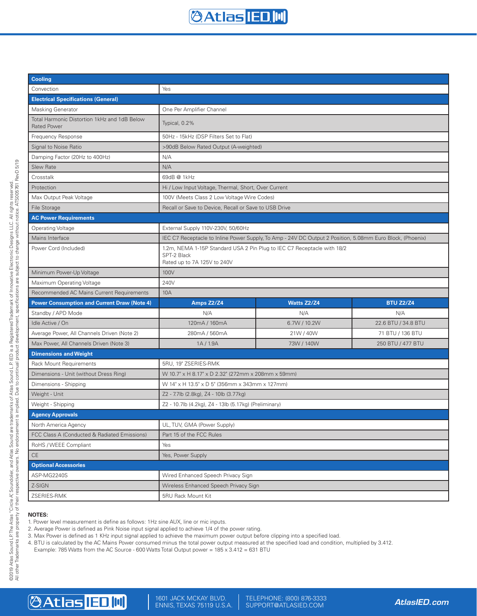

| <b>Cooling</b>                                                     |                                                                                                                       |              |                     |  |  |
|--------------------------------------------------------------------|-----------------------------------------------------------------------------------------------------------------------|--------------|---------------------|--|--|
| Convection                                                         | Yes                                                                                                                   |              |                     |  |  |
| <b>Electrical Specifications (General)</b>                         |                                                                                                                       |              |                     |  |  |
| <b>Masking Generator</b>                                           | One Per Amplifier Channel                                                                                             |              |                     |  |  |
| Total Harmonic Distortion 1kHz and 1dB Below<br><b>Rated Power</b> | Typical, 0.2%                                                                                                         |              |                     |  |  |
| Frequency Response                                                 | 50Hz - 15kHz (DSP Filters Set to Flat)                                                                                |              |                     |  |  |
| Signal to Noise Ratio                                              | >90dB Below Rated Output (A-weighted)                                                                                 |              |                     |  |  |
| Damping Factor (20Hz to 400Hz)                                     | N/A                                                                                                                   |              |                     |  |  |
| <b>Slew Rate</b>                                                   | N/A                                                                                                                   |              |                     |  |  |
| Crosstalk                                                          | 69dB @ 1kHz                                                                                                           |              |                     |  |  |
| Protection                                                         | Hi / Low Input Voltage, Thermal, Short, Over Current                                                                  |              |                     |  |  |
| Max Output Peak Voltage                                            | 100V (Meets Class 2 Low Voltage Wire Codes)                                                                           |              |                     |  |  |
| File Storage                                                       | Recall or Save to Device, Recall or Save to USB Drive                                                                 |              |                     |  |  |
| <b>AC Power Requirements</b>                                       |                                                                                                                       |              |                     |  |  |
| Operating Voltage                                                  | External Supply 110V-230V, 50/60Hz                                                                                    |              |                     |  |  |
| Mains Interface                                                    | IEC C7 Receptacle to Inline Power Supply, To Amp - 24V DC Output 2 Position, 5.08mm Euro Block, (Phoenix)             |              |                     |  |  |
| Power Cord (Included)                                              | 1.2m, NEMA 1-15P Standard USA 2 Pin Plug to IEC C7 Receptacle with 18/2<br>SPT-2 Black<br>Rated up to 7A 125V to 240V |              |                     |  |  |
| Minimum Power-Up Voltage                                           | 100V                                                                                                                  |              |                     |  |  |
| Maximum Operating Voltage                                          | 240V                                                                                                                  |              |                     |  |  |
| Recommended AC Mains Current Requirements                          | 10A                                                                                                                   |              |                     |  |  |
| <b>Power Consumption and Current Draw (Note 4)</b>                 | Amps Z2/Z4                                                                                                            | Watts Z2/Z4  | <b>BTU Z2/Z4</b>    |  |  |
| Standby / APD Mode                                                 | N/A                                                                                                                   | N/A          | N/A                 |  |  |
| Idle Active / On                                                   | 120mA / 160mA                                                                                                         | 6.7W / 10.2W | 22.6 BTU / 34.8 BTU |  |  |
| Average Power, All Channels Driven (Note 2)                        | 280mA / 560mA                                                                                                         | 21W/40W      | 71 BTU / 136 BTU    |  |  |
| Max Power, All Channels Driven (Note 3)                            | 1A/1.9A                                                                                                               | 73W / 140W   | 250 BTU / 477 BTU   |  |  |
| <b>Dimensions and Weight</b>                                       |                                                                                                                       |              |                     |  |  |
| <b>Rack Mount Requirements</b>                                     | 5RU, 19" ZSERIES-RMK                                                                                                  |              |                     |  |  |
| Dimensions - Unit (without Dress Ring)                             | W 10.7" x H 8.17" x D 2.32" (272mm x 208mm x 59mm)                                                                    |              |                     |  |  |
| Dimensions - Shipping                                              | W 14" x H 13.5" x D 5" (356mm x 343mm x 127mm)                                                                        |              |                     |  |  |
| Weight - Unit                                                      | Z2 - 7.7lb (2.8kg), Z4 - 10lb (3.77kg)                                                                                |              |                     |  |  |
| Weight - Shipping                                                  | Z2 - 10.7lb (4.2kg), Z4 - 13lb (5.17kg) (Preliminary)                                                                 |              |                     |  |  |
| <b>Agency Approvals</b>                                            |                                                                                                                       |              |                     |  |  |
| North America Agency                                               | UL, TUV, GMA (Power Supply)                                                                                           |              |                     |  |  |
| FCC Class A (Conducted & Radiated Emissions)                       | Part 15 of the FCC Rules                                                                                              |              |                     |  |  |
| RoHS / WEEE Compliant                                              | Yes                                                                                                                   |              |                     |  |  |
| $\mathsf{CE}$                                                      | Yes, Power Supply                                                                                                     |              |                     |  |  |
| <b>Optional Accessories</b>                                        |                                                                                                                       |              |                     |  |  |
| ASP-MG2240S                                                        | Wired Enhanced Speech Privacy Sign                                                                                    |              |                     |  |  |
| Z-SIGN                                                             | Wireless Enhanced Speech Privacy Sign                                                                                 |              |                     |  |  |
| ZSERIES-RMK                                                        | 5RU Rack Mount Kit                                                                                                    |              |                     |  |  |

#### **NOTES:**

1. Power level measurement is define as follows: 1Hz sine AUX, line or mic inputs.

2. Average Power is defined as Pink Noise input signal applied to achieve 1/4 of the power rating.

3. Max Power is defined as 1 KHz input signal applied to achieve the maximum power output before clipping into a specified load.

4. BTU is calculated by the AC Mains Power consumed minus the total power output measured at the specified load and condition, multiplied by 3.412.

Example: 785 Watts from the AC Source - 600 Watts Total Output power = 185 x 3.412 = 631 BTU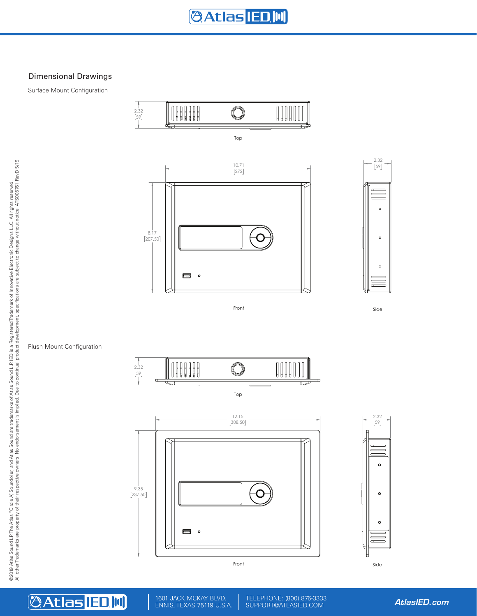## Dimensional Drawings

Surface Mount Configuration



#### Top





Side

#### Flush Mount Configuration



Top





1601 JACK MCKAY BLVD. ENNIS, TEXAS 75119 U.S.A. *AtlasIED.com* TELEPHONE: (800) 876-3333 SUPPORT@ATLASIED.COM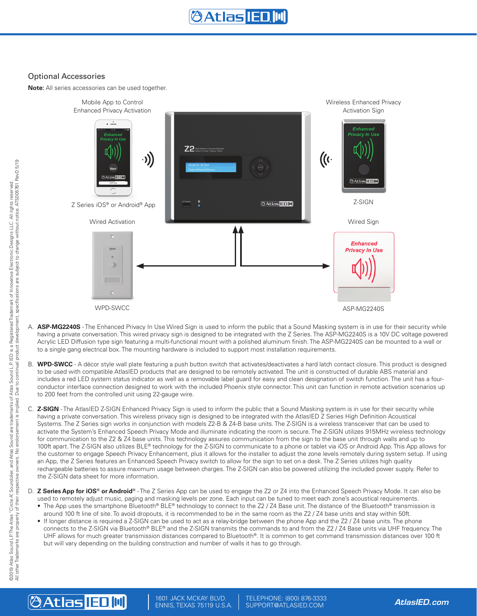### Optional Accessories

**Note:** All series accessories can be used together.



- A. **ASP-MG2240S** The Enhanced Privacy In Use Wired Sign is used to inform the public that a Sound Masking system is in use for their security while having a private conversation. This wired privacy sign is designed to be integrated with the Z Series. The ASP-MG2240S is a 10V DC voltage powered Acrylic LED Diffusion type sign featuring a multi-functional mount with a polished aluminum finish. The ASP-MG2240S can be mounted to a wall or to a single gang electrical box. The mounting hardware is included to support most installation requirements.
- B. **WPD-SWCC** A décor style wall plate featuring a push button switch that activates/deactivates a hard latch contact closure. This product is designed to be used with compatible AtlasIED products that are designed to be remotely activated. The unit is constructed of durable ABS material and includes a red LED system status indicator as well as a removable label guard for easy and clean designation of switch function. The unit has a fourconductor interface connection designed to work with the included Phoenix style connector. This unit can function in remote activation scenarios up to 200 feet from the controlled unit using 22-gauge wire.
- C. **Z-SIGN** The AtlasIED Z-SIGN Enhanced Privacy Sign is used to inform the public that a Sound Masking system is in use for their security while having a private conversation. This wireless privacy sign is designed to be integrated with the AtlasIED Z Series High Definition Acoustical Systems. The Z Series sign works in conjunction with models Z2-B & Z4-B base units. The Z-SIGN is a wireless transceiver that can be used to activate the System's Enhanced Speech Privacy Mode and illuminate indicating the room is secure. The Z-SIGN utilizes 915MHz wireless technology for communication to the Z2 & Z4 base units. This technology assures communication from the sign to the base unit through walls and up to 100ft apart. The Z-SIGN also utilizes BLE® technology for the Z-SIGN to communicate to a phone or tablet via iOS or Android App. This App allows for the customer to engage Speech Privacy Enhancement, plus it allows for the installer to adjust the zone levels remotely during system setup. If using an App, the Z Series features an Enhanced Speech Privacy switch to allow for the sign to set on a desk. The Z Series utilizes high quality rechargeable batteries to assure maximum usage between charges. The Z-SIGN can also be powered utilizing the included power supply. Refer to the Z-SIGN data sheet for more information.
- D. **Z Series App for iOS® or Android®** The Z Series App can be used to engage the Z2 or Z4 into the Enhanced Speech Privacy Mode. It can also be used to remotely adjust music, paging and masking levels per zone. Each input can be tuned to meet each zone's acoustical requirements. • The App uses the smartphone Bluetooth® BLE® technology to connect to the Z2 / Z4 Base unit. The distance of the Bluetooth® transmission is
	- around 100 ft line of site. To avoid dropouts, it is recommended to be in the same room as the Z2 / Z4 base units and stay within 50ft.
	- If longer distance is required a Z-SIGN can be used to act as a relay-bridge between the phone App and the Z2 / Z4 base units. The phone connects to the Z-SIGN via Bluetooth® BLE® and the Z-SIGN transmits the commands to and from the Z2 / Z4 Base units via UHF frequency. The UHF allows for much greater transmission distances compared to Bluetooth®. It is common to get command transmission distances over 100 ft but will vary depending on the building construction and number of walls it has to go through.